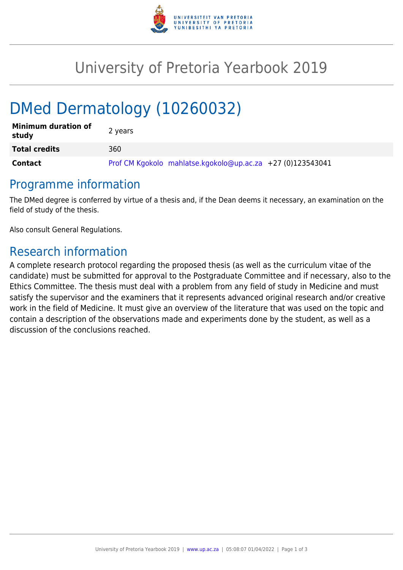

## University of Pretoria Yearbook 2019

# DMed Dermatology (10260032)

| <b>Minimum duration of</b><br>study | 2 years                                                    |
|-------------------------------------|------------------------------------------------------------|
| <b>Total credits</b>                | 360                                                        |
| <b>Contact</b>                      | Prof CM Kgokolo mahlatse.kgokolo@up.ac.za +27 (0)123543041 |

#### Programme information

The DMed degree is conferred by virtue of a thesis and, if the Dean deems it necessary, an examination on the field of study of the thesis.

Also consult General Regulations.

### Research information

A complete research protocol regarding the proposed thesis (as well as the curriculum vitae of the candidate) must be submitted for approval to the Postgraduate Committee and if necessary, also to the Ethics Committee. The thesis must deal with a problem from any field of study in Medicine and must satisfy the supervisor and the examiners that it represents advanced original research and/or creative work in the field of Medicine. It must give an overview of the literature that was used on the topic and contain a description of the observations made and experiments done by the student, as well as a discussion of the conclusions reached.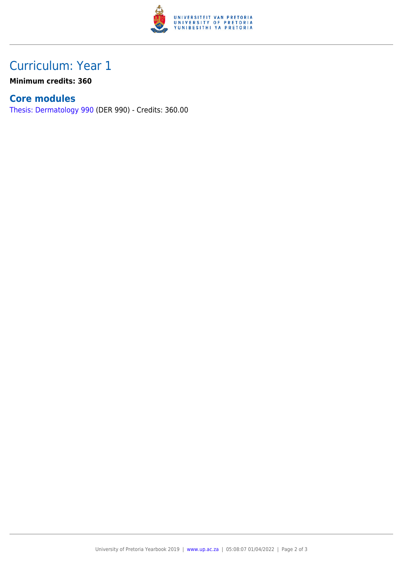

## Curriculum: Year 1

**Minimum credits: 360**

#### **Core modules**

[Thesis: Dermatology 990](https://www.up.ac.za/parents/yearbooks/2019/modules/view/DER 990) (DER 990) - Credits: 360.00